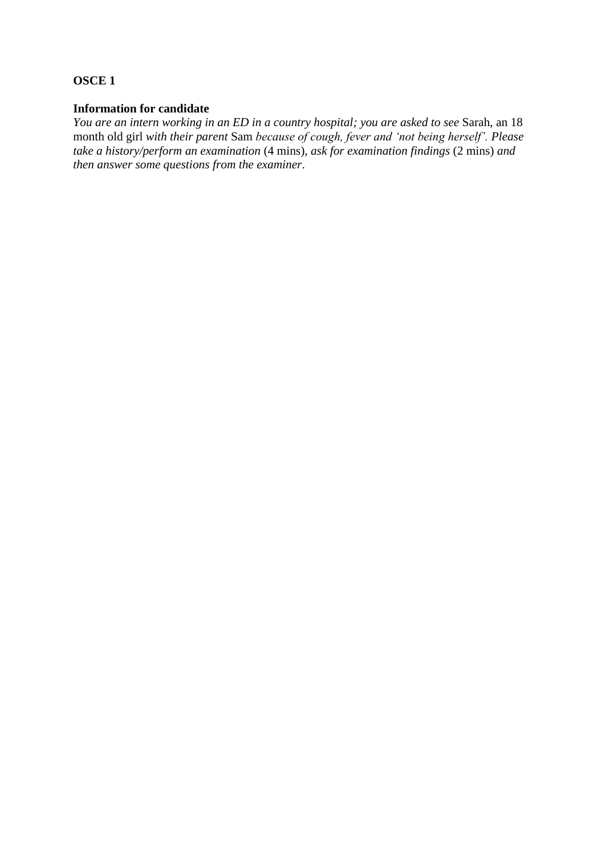### **OSCE 1**

## **Information for candidate**

*You are an intern working in an ED in a country hospital; you are asked to see* Sarah, an 18 month old girl *with their parent* Sam *because of cough, fever and 'not being herself'. Please take a history/perform an examination* (4 mins)*, ask for examination findings* (2 mins) *and then answer some questions from the examiner*.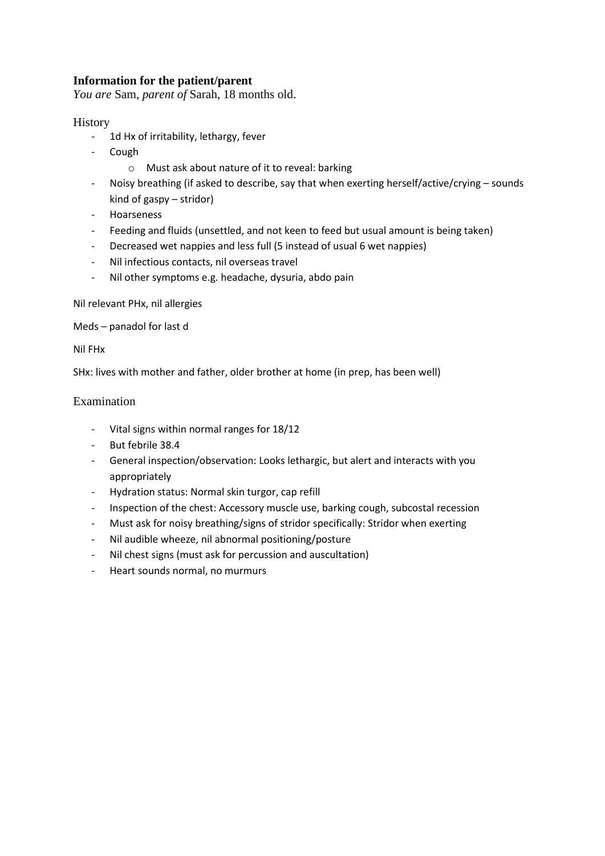## **Information for the patient/parent**

*You are* Sam, *parent of* Sarah, 18 months old.

### History

- 1d Hx of irritability, lethargy, fever
- Cough
	- o Must ask about nature of it to reveal: barking
- Noisy breathing (if asked to describe, say that when exerting herself/active/crying sounds kind of gaspy – stridor)
- **Hoarseness**
- Feeding and fluids (unsettled, and not keen to feed but usual amount is being taken)
- Decreased wet nappies and less full (5 instead of usual 6 wet nappies)
- Nil infectious contacts, nil overseas travel
- Nil other symptoms e.g. headache, dysuria, abdo pain

Nil relevant PHx, nil allergies

Meds – panadol for last d

Nil FHx

SHx: lives with mother and father, older brother at home (in prep, has been well)

#### Examination

- Vital signs within normal ranges for 18/12
- But febrile 38.4
- General inspection/observation: Looks lethargic, but alert and interacts with you appropriately
- Hydration status: Normal skin turgor, cap refill
- Inspection of the chest: Accessory muscle use, barking cough, subcostal recession
- Must ask for noisy breathing/signs of stridor specifically: Stridor when exerting
- Nil audible wheeze, nil abnormal positioning/posture
- Nil chest signs (must ask for percussion and auscultation)
- Heart sounds normal, no murmurs